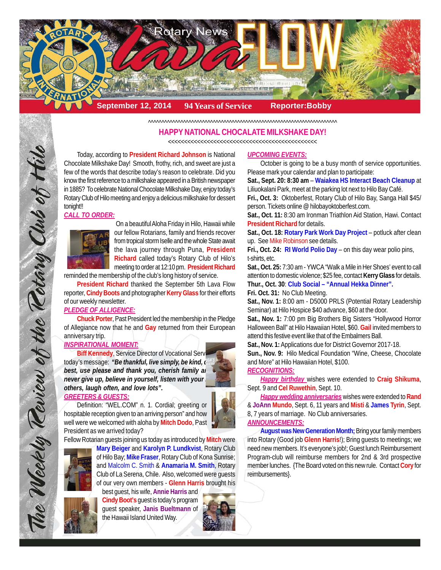

^^^^^^^^^^^^^^^^^^^^^^^^^^^^^^^^^^^^^^^^^^^^^^^^^^^^^^^^^^^^^^^^^^^^^^

## **HAPPY NATIONAL CHOCALATE MILKSHAKE DAY!**

<<<<<<<<<<<<<<<<<<<<<<<<<<<<<<<<<<<<<<<<<<<<<<

Today, according to **President Richard Johnson** is National Chocolate Milkshake Day! Smooth, frothy, rich, and sweet are just a few of the words that describe today's reason to celebrate. Did you know the first reference to a milkshake appeared in a British newspaper in 1885? To celebrate National Chocolate Milkshake Day, enjoy today's Rotary Club of Hilo meeting and enjoy a delicious milkshake for dessert tonight!!

#### *CALL TO ORDER:*



On a beautiful Aloha Friday in Hilo, Hawaii while our fellow Rotarians, family and friends recover from tropical storm Iselle and the whole State await the lava journey through Puna, **President Richard** called today's Rotary Club of Hilo's meeting to order at 12:10 pm. **President Richard**

reminded the membership of the club's long history of service.

**President Richard** thanked the September 5th Lava Flow reporter, **Cindy Boots** and photographer **Kerry Glass** for their efforts of our weekly newsletter.

#### *PLEDGE OF ALLIGENCE:*

**Chuck Porter**, Past President led the membership in the Pledge of Allegiance now that he and **Gay** returned from their European anniversary trip.

## *INSPIRATIONAL MOMENT:*

The Weekly Teview of the Tetary Club of Hilo

**Biff Kennedy, Service Director of Vocational Serv** today's message: "Be thankful, live simply, be kind, do *best, use please and thank you, cherish family and freeze and thank you, cherish family and heat. never give up, believe in yourself, listen with your others, laugh often, and love lots".*

#### *GREETERS & GUESTS:*

Definition: "WEL.COM" n. 1. Cordial; greeting or hospitable reception given to an arriving person" and how well were we welcomed with aloha by **Mitch Dodo**, Past President as we arrived today?

Fellow Rotarian guests joining us today as introduced by **Mitch** were



**Mary Beiger** and **Karolyn P. Lundkvist**, Rotary Club of Hilo Bay; **Mike Fraser**, Rotary Club of Kona Sunrise; and Malcolm C. Smith & **Anamaria M. Smith**, Rotary Club of La Serena, Chile. Also, welcomed were guests of our very own members - **Glenn Harris** brought his



best guest, his wife, **Annie Harris** and **Cindy Boot's** guest is today's program guest speaker, **Janis Bueltmann** of the Hawaii Island United Way.



#### *UPCOMING EVENTS:*

October is going to be a busy month of service opportunities. Please mark your calendar and plan to participate:

**Sat., Sept. 20: 8:30 am** – **Waiakea HS Interact Beach Cleanup** at Liliuokalani Park, meet at the parking lot next to Hilo Bay Café.

**Fri., Oct. 3:** Oktoberfest, Rotary Club of Hilo Bay, Sanga Hall \$45/ person. Tickets online @ hilobayoktoberfest.com.

**Sat., Oct. 11:** 8:30 am Ironman Triathlon Aid Station, Hawi. Contact **President Richard** for details.

**Sat., Oct. 18: Rotary Park Work Day Project** – potluck after clean up. See Mike Robinson see details.

**Fri., Oct. 24: RI World Polio Day** – on this day wear polio pins, t-shirts, etc.

**Sat., Oct. 25:** 7:30 am - YWCA "Walk a Mile in Her Shoes' event to call attention to domestic violence; \$25 fee, contact **Kerry Glass** for details. **Thur., Oct. 30**: **Club Social – "Annual Hekka Dinner".**

#### **Fri. Oct. 31:** No Club Meeting.

**Sat., Nov. 1:** 8:00 am - D5000 PRLS (Potential Rotary Leadership Seminar) at Hilo Hospice \$40 advance, \$60 at the door.

**Sat., Nov. 1:** 7:00 pm Big Brothers Big Sisters "Hollywood Horror Halloween Ball" at Hilo Hawaiian Hotel, \$60. **Gail** invited members to attend this festive event like that of the Embalmers Ball.

**Sat., Nov. 1:** Applications due for District Governor 2017-18.

**Sun., Nov. 9:** Hilo Medical Foundation "Wine, Cheese, Chocolate and More" at Hilo Hawaiian Hotel, \$100.

### *RECOGNITIONS:*

*Happy birthday* wishes were extended to **Craig Shikuma**, Sept. 9 and **Cel Ruwethin**, Sept. 10.

*Happy wedding anniversaries* wishes were extended to **Rand** & **JoAnn Mundo**, Sept. 6, 11 years and **Misti** & **James Tyrin**, Sept. 8, 7 years of marriage. No Club anniversaries. *ANNOUNCEMENTS:*

**August was New Generation Month; Bring your family members** into Rotary (Good job **Glenn Harris**!); Bring guests to meetings; we need new members. It's everyone's job!; Guest lunch Reimbursement Program-club will reimburse members for 2nd & 3rd prospective member lunches. {The Board voted on this new rule. Contact **Cory** for reimbursements}.